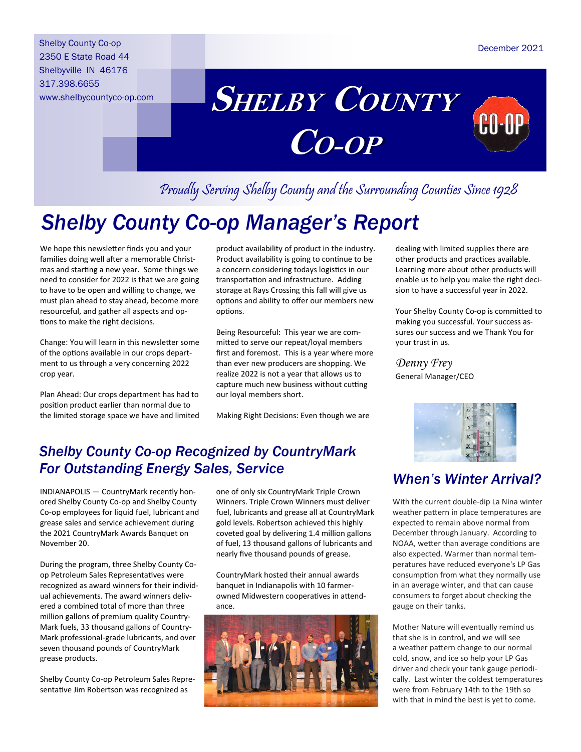Shelby County Co-op 2350 E State Road 44 Shelbyville IN 46176 317.398.6655 www.shelbycountyco-op.com



# Proudly Serving Shelby County and the Surrounding Counties Since 1928

# *Shelby County Co-op Manager's Report*

We hope this newsletter finds you and your families doing well after a memorable Christmas and starting a new year. Some things we need to consider for 2022 is that we are going to have to be open and willing to change, we must plan ahead to stay ahead, become more resourceful, and gather all aspects and options to make the right decisions.

Change: You will learn in this newsletter some of the options available in our crops department to us through a very concerning 2022 crop year.

Plan Ahead: Our crops department has had to position product earlier than normal due to the limited storage space we have and limited

product availability of product in the industry. Product availability is going to continue to be a concern considering todays logistics in our transportation and infrastructure. Adding storage at Rays Crossing this fall will give us options and ability to offer our members new options.

Being Resourceful: This year we are committed to serve our repeat/loyal members first and foremost. This is a year where more than ever new producers are shopping. We realize 2022 is not a year that allows us to capture much new business without cutting our loyal members short.

Making Right Decisions: Even though we are

### *Shelby County Co-op Recognized by CountryMark For Outstanding Energy Sales, Service*

INDIANAPOLIS — CountryMark recently honored Shelby County Co-op and Shelby County Co-op employees for liquid fuel, lubricant and grease sales and service achievement during the 2021 CountryMark Awards Banquet on November 20.

During the program, three Shelby County Coop Petroleum Sales Representatives were recognized as award winners for their individual achievements. The award winners delivered a combined total of more than three million gallons of premium quality Country-Mark fuels, 33 thousand gallons of Country-Mark professional-grade lubricants, and over seven thousand pounds of CountryMark grease products.

Shelby County Co-op Petroleum Sales Representative Jim Robertson was recognized as

one of only six CountryMark Triple Crown Winners. Triple Crown Winners must deliver fuel, lubricants and grease all at CountryMark gold levels. Robertson achieved this highly coveted goal by delivering 1.4 million gallons of fuel, 13 thousand gallons of lubricants and nearly five thousand pounds of grease.

CountryMark hosted their annual awards banquet in Indianapolis with 10 farmerowned Midwestern cooperatives in attendance.



dealing with limited supplies there are other products and practices available. Learning more about other products will enable us to help you make the right decision to have a successful year in 2022.

Your Shelby County Co-op is committed to making you successful. Your success assures our success and we Thank You for your trust in us.

*Denny Frey* General Manager/CEO



### *When's Winter Arrival?*

With the current double-dip La Nina winter weather pattern in place temperatures are expected to remain above normal from December through January. According to NOAA, wetter than average conditions are also expected. Warmer than normal temperatures have reduced everyone's LP Gas consumption from what they normally use in an average winter, and that can cause consumers to forget about checking the gauge on their tanks.

Mother Nature will eventually remind us that she is in control, and we will see a weather pattern change to our normal cold, snow, and ice so help your LP Gas driver and check your tank gauge periodically. Last winter the coldest temperatures were from February 14th to the 19th so with that in mind the best is yet to come.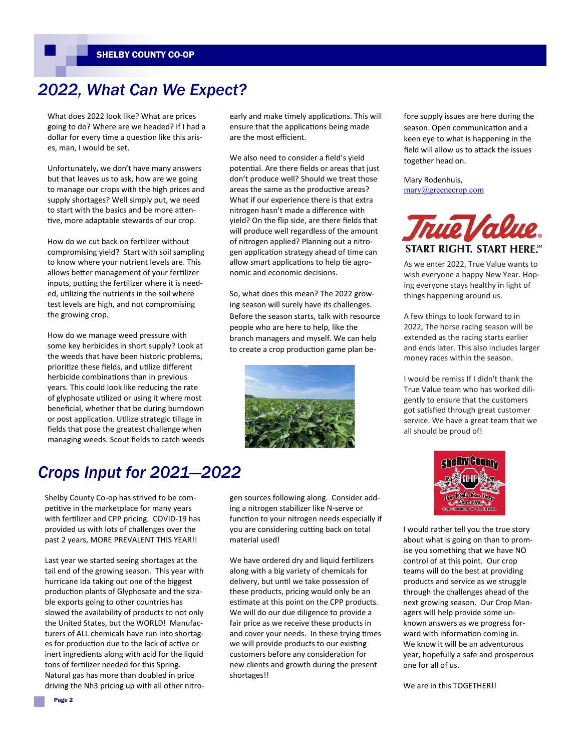### *2022, What Can We Expect?*

What does 2022 look like? What are prices going to do? Where are we headed? If I had a dollar for every time a question like this arises, man, I would be set.

Unfortunately, we don't have many answers but that leaves us to ask, how are we going to manage our crops with the high prices and supply shortages? Well simply put, we need to start with the basics and be more attentive, more adaptable stewards of our crop.

How do we cut back on fertilizer without compromising yield? Start with soil sampling to know where your nutrient levels are. This allows better management of your fertilizer inputs, putting the fertilizer where it is needed, utilizing the nutrients in the soil where test levels are high, and not compromising the growing crop.

How do we manage weed pressure with some key herbicides in short supply? Look at the weeds that have been historic problems, prioritize these fields, and utilize different herbicide combinations than in previous years. This could look like reducing the rate of glyphosate utilized or using it where most beneficial, whether that be during burndown or post application. Utilize strategic tillage in fields that pose the greatest challenge when managing weeds. Scout fields to catch weeds

early and make timely applications. This will ensure that the applications being made are the most efficient.

We also need to consider a field's yield potential. Are there fields or areas that just don't produce well? Should we treat those areas the same as the productive areas? What if our experience there is that extra nitrogen hasn't made a difference with yield? On the flip side, are there fields that will produce well regardless of the amount of nitrogen applied? Planning out a nitrogen application strategy ahead of time can allow smart applications to help tie agronomic and economic decisions.

So, what does this mean? The 2022 growing season will surely have its challenges. Before the season starts, talk with resource people who are here to help, like the branch managers and myself. We can help to create a crop production game plan be-



fore supply issues are here during the season. Open communication and a keen eye to what is happening in the field will allow us to attack the issues together head on.

Mary Rodenhuis, [mary@greenecrop.com](mailto:mary@greenecrop.com)



As we enter 2022, True Value wants to wish everyone a happy New Year. Hoping everyone stays healthy in light of things happening around us.

A few things to look forward to in 2022, The horse racing season will be extended as the racing starts earlier and ends later. This also includes larger money races within the season.

I would be remiss If I didn't thank the True Value team who has worked diligently to ensure that the customers got satisfied through great customer service. We have a great team that we all should be proud of!

## shelby County Dar Kade Kar Deep **Shop year**

I would rather tell you the true story about what is going on than to promise you something that we have NO control of at this point. Our crop teams will do the best at providing products and service as we struggle through the challenges ahead of the next growing season. Our Crop Managers will help provide some unknown answers as we progress forward with information coming in. We know it will be an adventurous year, hopefully a safe and prosperous one for all of us.

We are in this TOGETHER!!

### *Crops Input for 2021—2022*

Shelby County Co-op has strived to be competitive in the marketplace for many years with fertilizer and CPP pricing. COVID-19 has provided us with lots of challenges over the past 2 years, MORE PREVALENT THIS YEAR!!

Last year we started seeing shortages at the tail end of the growing season. This year with hurricane Ida taking out one of the biggest production plants of Glyphosate and the sizable exports going to other countries has slowed the availability of products to not only the United States, but the WORLD! Manufacturers of ALL chemicals have run into shortages for production due to the lack of active or inert ingredients along with acid for the liquid tons of fertilizer needed for this Spring. Natural gas has more than doubled in price driving the Nh3 pricing up with all other nitro-

gen sources following along. Consider adding a nitrogen stabilizer like N-serve or function to your nitrogen needs especially if you are considering cutting back on total material used!

We have ordered dry and liquid fertilizers along with a big variety of chemicals for delivery, but until we take possession of these products, pricing would only be an estimate at this point on the CPP products. We will do our due diligence to provide a fair price as we receive these products in and cover your needs. In these trying times we will provide products to our existing customers before any consideration for new clients and growth during the present shortages!!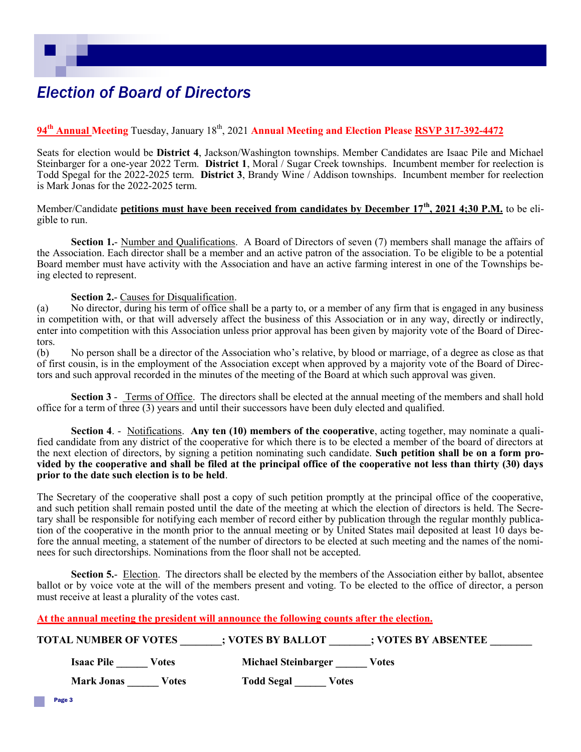## *Election of Board of Directors*

#### **94th Annual Meeting** Tuesday, January 18th, 2021 **Annual Meeting and Election Please RSVP 317-392-4472**

Seats for election would be **District 4**, Jackson/Washington townships. Member Candidates are Isaac Pile and Michael Steinbarger for a one-year 2022 Term. **District 1**, Moral / Sugar Creek townships. Incumbent member for reelection is Todd Spegal for the 2022-2025 term. **District 3**, Brandy Wine / Addison townships. Incumbent member for reelection is Mark Jonas for the 2022-2025 term.

#### Member/Candidate **petitions must have been received from candidates by December 17th, 2021 4;30 P.M.** to be eligible to run.

**Section 1.**- Number and Qualifications. A Board of Directors of seven (7) members shall manage the affairs of the Association. Each director shall be a member and an active patron of the association. To be eligible to be a potential Board member must have activity with the Association and have an active farming interest in one of the Townships being elected to represent.

#### **Section 2.**- Causes for Disqualification.

(a) No director, during his term of office shall be a party to, or a member of any firm that is engaged in any business in competition with, or that will adversely affect the business of this Association or in any way, directly or indirectly, enter into competition with this Association unless prior approval has been given by majority vote of the Board of Directors.

(b) No person shall be a director of the Association who's relative, by blood or marriage, of a degree as close as that of first cousin, is in the employment of the Association except when approved by a majority vote of the Board of Directors and such approval recorded in the minutes of the meeting of the Board at which such approval was given.

**Section 3** - Terms of Office. The directors shall be elected at the annual meeting of the members and shall hold office for a term of three (3) years and until their successors have been duly elected and qualified.

**Section 4**. - Notifications. **Any ten (10) members of the cooperative**, acting together, may nominate a qualified candidate from any district of the cooperative for which there is to be elected a member of the board of directors at the next election of directors, by signing a petition nominating such candidate. **Such petition shall be on a form provided by the cooperative and shall be filed at the principal office of the cooperative not less than thirty (30) days prior to the date such election is to be held**.

The Secretary of the cooperative shall post a copy of such petition promptly at the principal office of the cooperative, and such petition shall remain posted until the date of the meeting at which the election of directors is held. The Secretary shall be responsible for notifying each member of record either by publication through the regular monthly publication of the cooperative in the month prior to the annual meeting or by United States mail deposited at least 10 days before the annual meeting, a statement of the number of directors to be elected at such meeting and the names of the nominees for such directorships. Nominations from the floor shall not be accepted.

**Section 5.**- Election. The directors shall be elected by the members of the Association either by ballot, absentee ballot or by voice vote at the will of the members present and voting. To be elected to the office of director, a person must receive at least a plurality of the votes cast.

**At the annual meeting the president will announce the following counts after the election.**

| <b>TOTAL NUMBER OF VOTES</b> | ; VOTES BY ABSENTEE<br>; VOTES BY BALLOT |  |
|------------------------------|------------------------------------------|--|
| <b>Isaac Pile</b><br>Votes   | Michael Steinbarger<br>Votes             |  |
| <b>Mark Jonas</b><br>Votes   | <b>Todd Segal</b><br>Votes               |  |